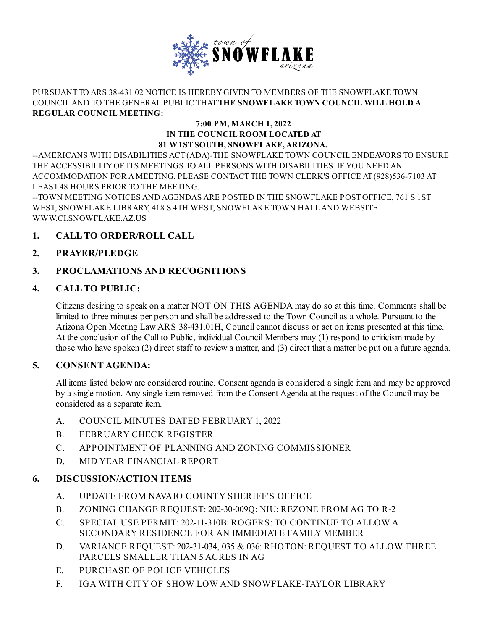

#### PURSUANT TO ARS 38-431.02 NOTICE IS HEREBYGIVEN TO MEMBERS OF THE SNOWFLAKE TOWN COUNCILAND TO THE GENERAL PUBLIC THAT**THE SNOWFLAKE TOWN COUNCIL WILL HOLD A REGULAR COUNCIL MEETING:**

#### **7:00 PM, MARCH 1, 2022 IN THE COUNCIL ROOM LOCATED AT 81 W1STSOUTH, SNOWFLAKE,ARIZONA.**

--AMERICANS WITH DISABILITIES ACT(ADA)-THE SNOWFLAKE TOWN COUNCIL ENDEAVORS TO ENSURE THE ACCESSIBILITYOF ITS MEETINGS TO ALL PERSONS WITH DISABILITIES. IF YOU NEED AN ACCOMMODATION FOR AMEETING, PLEASE CONTACT THE TOWN CLERK'S OFFICE AT(928)536-7103 AT LEAST48 HOURS PRIOR TO THE MEETING.

--TOWN MEETING NOTICES AND AGENDAS ARE POSTED IN THE SNOWFLAKE POSTOFFICE, 761 S 1ST WEST; SNOWFLAKE LIBRARY, 418 S 4TH WEST; SNOWFLAKE TOWN HALLAND WEBSITE [WWW.CI.SNOWFLAKE.AZ.US](http://www.ci.snowflake.az.us)

# **1. CALL TO ORDER/ROLL CALL**

# **2. PRAYER/PLEDGE**

# **3. PROCLAMATIONS AND RECOGNITIONS**

## **4. CALL TO PUBLIC:**

Citizens desiring to speak on a matter NOT ON THIS AGENDA may do so at this time. Comments shall be limited to three minutes per person and shall be addressed to the Town Councilas a whole. Pursuant to the Arizona Open Meeting Law ARS 38-431.01H, Council cannot discuss or act on items presented at this time. At the conclusion of the Call to Public, individual Council Members may (1) respond to criticism made by those who have spoken (2) direct staff to review a matter, and (3) direct that a matter be put on a future agenda.

## **5. CONSENT AGENDA:**

All items listed below are considered routine. Consent agenda is considered a single item and may be approved by a single motion. Any single item removed from the Consent Agenda at the request of the Council may be considered as a separate item.

- A. COUNCIL MINUTES DATED [FEBRUARY](file:///C:/Windows/TEMP/CoverSheet.aspx?ItemID=615&MeetingID=63) 1, 2022
- B. [FEBRUARY](file:///C:/Windows/TEMP/CoverSheet.aspx?ItemID=614&MeetingID=63) CHECK REGISTER
- C. APPOINTMENT OF PLANNING AND ZONING [COMMISSIONER](file:///C:/Windows/TEMP/CoverSheet.aspx?ItemID=593&MeetingID=63)
- D. MID YEAR [FINANCIAL](file:///C:/Windows/TEMP/CoverSheet.aspx?ItemID=612&MeetingID=63) REPORT

## **6. DISCUSSION/ACTION ITEMS**

- A. UPDATE FROM NAVAJO COUNTY [SHERIFF'S](file:///C:/Windows/TEMP/CoverSheet.aspx?ItemID=575&MeetingID=63) OFFICE
- B. ZONING CHANGE REQUEST: [202-30-009Q:](file:///C:/Windows/TEMP/CoverSheet.aspx?ItemID=605&MeetingID=63) NIU: REZONE FROM AG TO R-2
- C. SPECIAL USE PERMIT: 202-11-310B: ROGERS: TO CONTINUE TO ALLOW A [SECONDARY](file:///C:/Windows/TEMP/CoverSheet.aspx?ItemID=606&MeetingID=63) RESIDENCE FOR AN IMMEDIATE FAMILY MEMBER
- D. [VARIANCE](file:///C:/Windows/TEMP/CoverSheet.aspx?ItemID=607&MeetingID=63) REQUEST: 202-31-034, 035 & 036: RHOTON: REQUEST TO ALLOW THREE PARCELS SMALLER THAN 5 ACRES IN AG
- E. [PURCHASE](file:///C:/Windows/TEMP/CoverSheet.aspx?ItemID=608&MeetingID=63) OF POLICE VEHICLES
- F. IGA WITH CITY OF SHOW LOW AND [SNOWFLAKE-TAYLOR](file:///C:/Windows/TEMP/CoverSheet.aspx?ItemID=609&MeetingID=63) LIBRARY